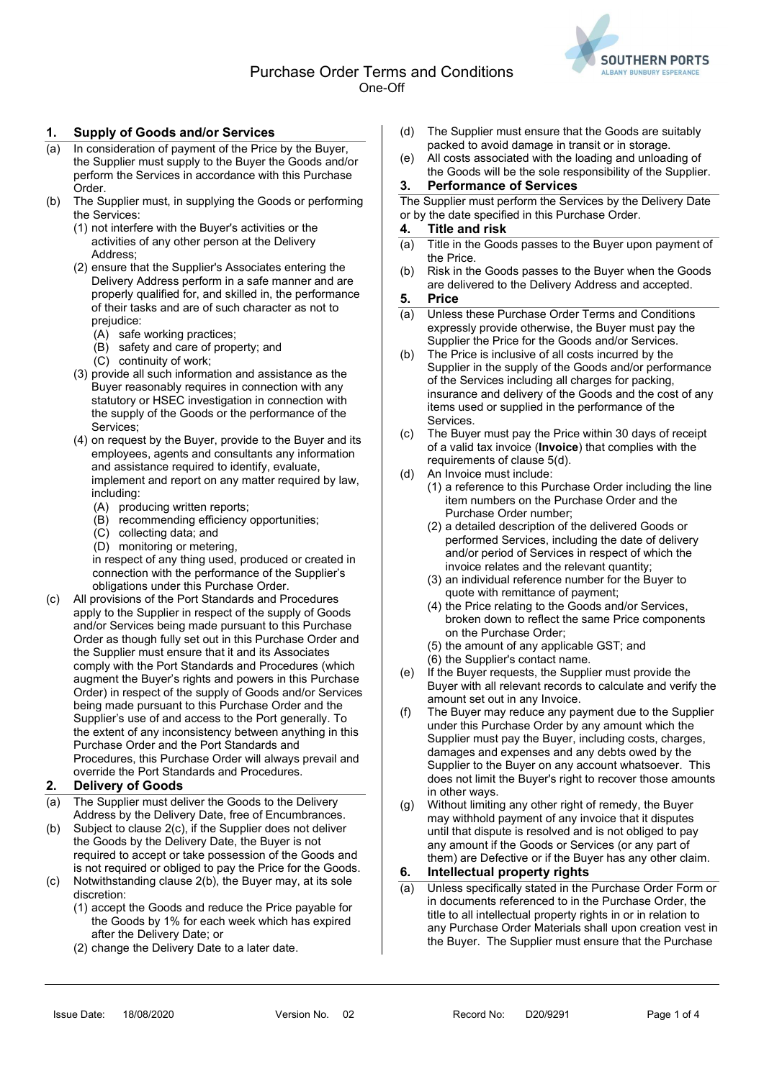

## 1. Supply of Goods and/or Services

- (a) In consideration of payment of the Price by the Buyer, the Supplier must supply to the Buyer the Goods and/or perform the Services in accordance with this Purchase Order.
- (b) The Supplier must, in supplying the Goods or performing the Services:
	- (1) not interfere with the Buyer's activities or the activities of any other person at the Delivery Address;
	- (2) ensure that the Supplier's Associates entering the Delivery Address perform in a safe manner and are properly qualified for, and skilled in, the performance of their tasks and are of such character as not to prejudice:
		- (A) safe working practices;
		- (B) safety and care of property; and
		- (C) continuity of work;
	- (3) provide all such information and assistance as the Buyer reasonably requires in connection with any statutory or HSEC investigation in connection with the supply of the Goods or the performance of the Services;
	- (4) on request by the Buyer, provide to the Buyer and its employees, agents and consultants any information and assistance required to identify, evaluate, implement and report on any matter required by law, including:
		- (A) producing written reports;
		- (B) recommending efficiency opportunities;
		- (C) collecting data; and
		- (D) monitoring or metering,

in respect of any thing used, produced or created in connection with the performance of the Supplier's obligations under this Purchase Order.

(c) All provisions of the Port Standards and Procedures apply to the Supplier in respect of the supply of Goods and/or Services being made pursuant to this Purchase Order as though fully set out in this Purchase Order and the Supplier must ensure that it and its Associates comply with the Port Standards and Procedures (which augment the Buyer's rights and powers in this Purchase Order) in respect of the supply of Goods and/or Services being made pursuant to this Purchase Order and the Supplier's use of and access to the Port generally. To the extent of any inconsistency between anything in this Purchase Order and the Port Standards and Procedures, this Purchase Order will always prevail and override the Port Standards and Procedures.

## 2. Delivery of Goods

- (a) The Supplier must deliver the Goods to the Delivery Address by the Delivery Date, free of Encumbrances.
- (b) Subject to clause 2(c), if the Supplier does not deliver the Goods by the Delivery Date, the Buyer is not required to accept or take possession of the Goods and is not required or obliged to pay the Price for the Goods. (c) Notwithstanding clause 2(b), the Buyer may, at its sole
- discretion:
	- (1) accept the Goods and reduce the Price payable for the Goods by 1% for each week which has expired after the Delivery Date; or
	- (2) change the Delivery Date to a later date.
- (d) The Supplier must ensure that the Goods are suitably packed to avoid damage in transit or in storage.
- (e) All costs associated with the loading and unloading of the Goods will be the sole responsibility of the Supplier.

## 3. Performance of Services

The Supplier must perform the Services by the Delivery Date or by the date specified in this Purchase Order.

#### 4. Title and risk

- (a) Title in the Goods passes to the Buyer upon payment of the Price.
- (b) Risk in the Goods passes to the Buyer when the Goods are delivered to the Delivery Address and accepted.

### 5. Price

- (a) Unless these Purchase Order Terms and Conditions expressly provide otherwise, the Buyer must pay the Supplier the Price for the Goods and/or Services.
- (b) The Price is inclusive of all costs incurred by the Supplier in the supply of the Goods and/or performance of the Services including all charges for packing, insurance and delivery of the Goods and the cost of any items used or supplied in the performance of the **Services**
- (c) The Buyer must pay the Price within 30 days of receipt of a valid tax invoice (Invoice) that complies with the requirements of clause 5(d).
- (d) An Invoice must include:
	- (1) a reference to this Purchase Order including the line item numbers on the Purchase Order and the Purchase Order number;
	- (2) a detailed description of the delivered Goods or performed Services, including the date of delivery and/or period of Services in respect of which the invoice relates and the relevant quantity;
	- (3) an individual reference number for the Buyer to quote with remittance of payment;
	- (4) the Price relating to the Goods and/or Services, broken down to reflect the same Price components on the Purchase Order;
	- (5) the amount of any applicable GST; and
	- (6) the Supplier's contact name.
- (e) If the Buyer requests, the Supplier must provide the Buyer with all relevant records to calculate and verify the amount set out in any Invoice.
- (f) The Buyer may reduce any payment due to the Supplier under this Purchase Order by any amount which the Supplier must pay the Buyer, including costs, charges, damages and expenses and any debts owed by the Supplier to the Buyer on any account whatsoever. This does not limit the Buyer's right to recover those amounts in other ways.
- (g) Without limiting any other right of remedy, the Buyer may withhold payment of any invoice that it disputes until that dispute is resolved and is not obliged to pay any amount if the Goods or Services (or any part of them) are Defective or if the Buyer has any other claim.

## 6. Intellectual property rights

(a) Unless specifically stated in the Purchase Order Form or in documents referenced to in the Purchase Order, the title to all intellectual property rights in or in relation to any Purchase Order Materials shall upon creation vest in the Buyer. The Supplier must ensure that the Purchase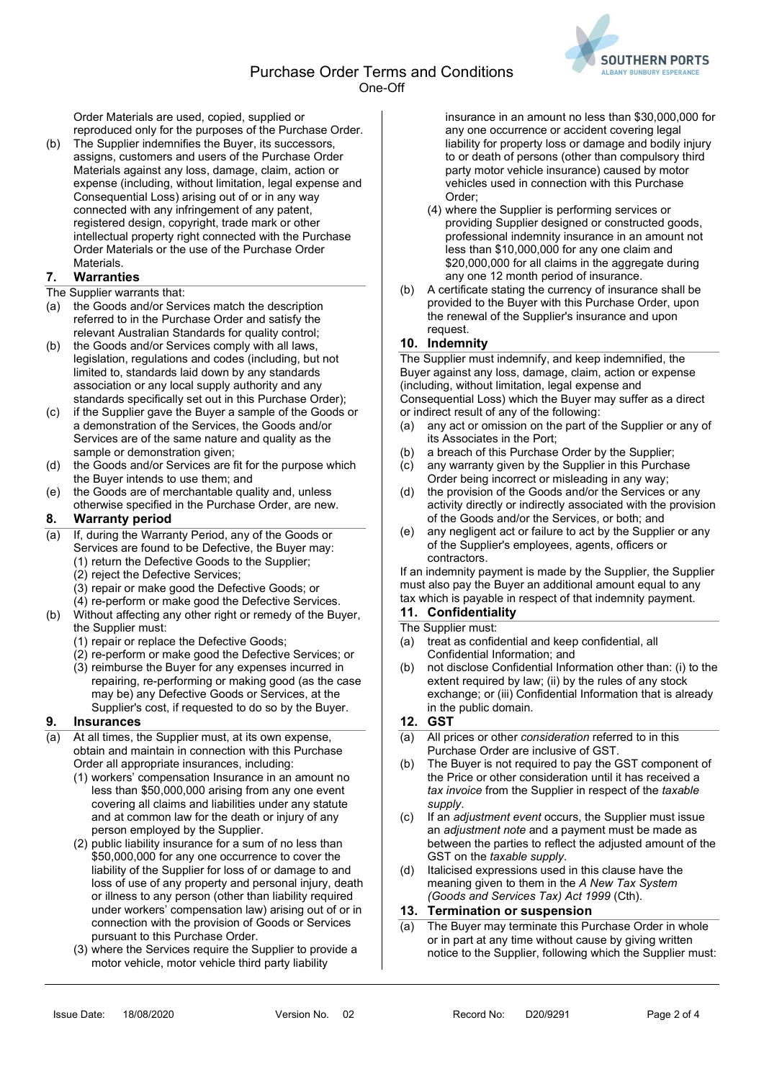

Order Materials are used, copied, supplied or reproduced only for the purposes of the Purchase Order.

(b) The Supplier indemnifies the Buyer, its successors, assigns, customers and users of the Purchase Order Materials against any loss, damage, claim, action or expense (including, without limitation, legal expense and Consequential Loss) arising out of or in any way connected with any infringement of any patent, registered design, copyright, trade mark or other intellectual property right connected with the Purchase Order Materials or the use of the Purchase Order **Materials** 

## 7. Warranties

### The Supplier warrants that:

- (a) the Goods and/or Services match the description referred to in the Purchase Order and satisfy the relevant Australian Standards for quality control;
- (b) the Goods and/or Services comply with all laws, legislation, regulations and codes (including, but not limited to, standards laid down by any standards association or any local supply authority and any standards specifically set out in this Purchase Order);
- (c) if the Supplier gave the Buyer a sample of the Goods or a demonstration of the Services, the Goods and/or Services are of the same nature and quality as the sample or demonstration given;
- (d) the Goods and/or Services are fit for the purpose which the Buyer intends to use them; and
- (e) the Goods are of merchantable quality and, unless otherwise specified in the Purchase Order, are new.

## 8. Warranty period

- (a) If, during the Warranty Period, any of the Goods or Services are found to be Defective, the Buyer may:
	- (1) return the Defective Goods to the Supplier;
		- (2) reject the Defective Services;
		- (3) repair or make good the Defective Goods; or
	- (4) re-perform or make good the Defective Services.
- (b) Without affecting any other right or remedy of the Buyer, the Supplier must:
	- (1) repair or replace the Defective Goods;
	- (2) re-perform or make good the Defective Services; or
	- (3) reimburse the Buyer for any expenses incurred in repairing, re-performing or making good (as the case may be) any Defective Goods or Services, at the Supplier's cost, if requested to do so by the Buyer.

## 9. Insurances

- (a) At all times, the Supplier must, at its own expense, obtain and maintain in connection with this Purchase Order all appropriate insurances, including:
	- (1) workers' compensation Insurance in an amount no less than \$50,000,000 arising from any one event covering all claims and liabilities under any statute and at common law for the death or injury of any person employed by the Supplier.
	- (2) public liability insurance for a sum of no less than \$50,000,000 for any one occurrence to cover the liability of the Supplier for loss of or damage to and loss of use of any property and personal injury, death or illness to any person (other than liability required under workers' compensation law) arising out of or in connection with the provision of Goods or Services pursuant to this Purchase Order.
	- (3) where the Services require the Supplier to provide a motor vehicle, motor vehicle third party liability

insurance in an amount no less than \$30,000,000 for any one occurrence or accident covering legal liability for property loss or damage and bodily injury to or death of persons (other than compulsory third party motor vehicle insurance) caused by motor vehicles used in connection with this Purchase Order;

- (4) where the Supplier is performing services or providing Supplier designed or constructed goods, professional indemnity insurance in an amount not less than \$10,000,000 for any one claim and \$20,000,000 for all claims in the aggregate during any one 12 month period of insurance.
- (b) A certificate stating the currency of insurance shall be provided to the Buyer with this Purchase Order, upon the renewal of the Supplier's insurance and upon request.

## 10. Indemnity

The Supplier must indemnify, and keep indemnified, the Buyer against any loss, damage, claim, action or expense (including, without limitation, legal expense and Consequential Loss) which the Buyer may suffer as a direct or indirect result of any of the following:

- (a) any act or omission on the part of the Supplier or any of its Associates in the Port;
- (b) a breach of this Purchase Order by the Supplier;
- (c) any warranty given by the Supplier in this Purchase Order being incorrect or misleading in any way;
- (d) the provision of the Goods and/or the Services or any activity directly or indirectly associated with the provision of the Goods and/or the Services, or both; and
- (e) any negligent act or failure to act by the Supplier or any of the Supplier's employees, agents, officers or contractors.

If an indemnity payment is made by the Supplier, the Supplier must also pay the Buyer an additional amount equal to any tax which is payable in respect of that indemnity payment.

# 11. Confidentiality

#### The Supplier must:

- (a) treat as confidential and keep confidential, all Confidential Information; and
- (b) not disclose Confidential Information other than: (i) to the extent required by law; (ii) by the rules of any stock exchange; or (iii) Confidential Information that is already in the public domain.

## 12. GST

- (a) All prices or other consideration referred to in this Purchase Order are inclusive of GST.
- (b) The Buyer is not required to pay the GST component of the Price or other consideration until it has received a tax invoice from the Supplier in respect of the taxable supply.
- (c) If an adjustment event occurs, the Supplier must issue an adjustment note and a payment must be made as between the parties to reflect the adjusted amount of the GST on the taxable supply.
- (d) Italicised expressions used in this clause have the meaning given to them in the A New Tax System (Goods and Services Tax) Act 1999 (Cth).

## 13. Termination or suspension

(a) The Buyer may terminate this Purchase Order in whole or in part at any time without cause by giving written notice to the Supplier, following which the Supplier must: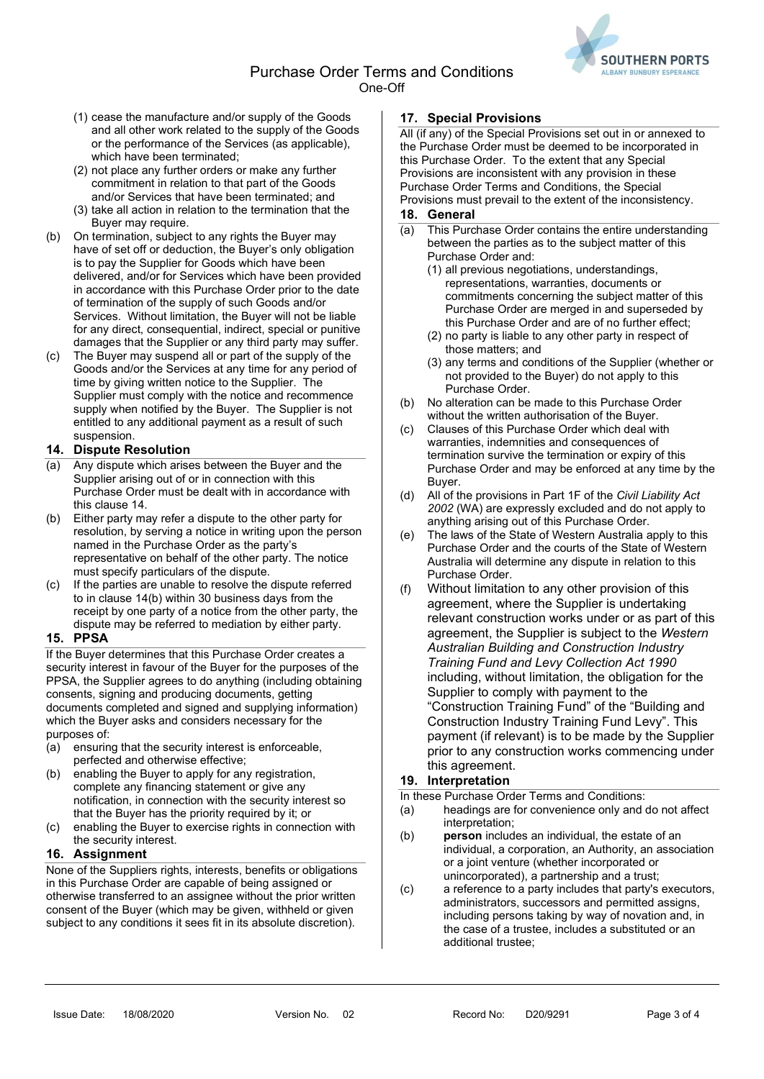Purchase Order Terms and Conditions One-Off



- (1) cease the manufacture and/or supply of the Goods and all other work related to the supply of the Goods or the performance of the Services (as applicable), which have been terminated;
- (2) not place any further orders or make any further commitment in relation to that part of the Goods and/or Services that have been terminated; and
- (3) take all action in relation to the termination that the Buyer may require.
- (b) On termination, subject to any rights the Buyer may have of set off or deduction, the Buyer's only obligation is to pay the Supplier for Goods which have been delivered, and/or for Services which have been provided in accordance with this Purchase Order prior to the date of termination of the supply of such Goods and/or Services. Without limitation, the Buyer will not be liable for any direct, consequential, indirect, special or punitive damages that the Supplier or any third party may suffer.
- (c) The Buyer may suspend all or part of the supply of the Goods and/or the Services at any time for any period of time by giving written notice to the Supplier. The Supplier must comply with the notice and recommence supply when notified by the Buyer. The Supplier is not entitled to any additional payment as a result of such suspension.

## 14. Dispute Resolution

- (a) Any dispute which arises between the Buyer and the Supplier arising out of or in connection with this Purchase Order must be dealt with in accordance with this clause 14.
- (b) Either party may refer a dispute to the other party for resolution, by serving a notice in writing upon the person named in the Purchase Order as the party's representative on behalf of the other party. The notice must specify particulars of the dispute.
- (c) If the parties are unable to resolve the dispute referred to in clause 14(b) within 30 business days from the receipt by one party of a notice from the other party, the dispute may be referred to mediation by either party.

## 15. PPSA

If the Buyer determines that this Purchase Order creates a security interest in favour of the Buyer for the purposes of the PPSA, the Supplier agrees to do anything (including obtaining consents, signing and producing documents, getting documents completed and signed and supplying information) which the Buyer asks and considers necessary for the purposes of:

- (a) ensuring that the security interest is enforceable, perfected and otherwise effective;
- (b) enabling the Buyer to apply for any registration, complete any financing statement or give any notification, in connection with the security interest so that the Buyer has the priority required by it; or
- (c) enabling the Buyer to exercise rights in connection with the security interest.

## 16. Assignment

None of the Suppliers rights, interests, benefits or obligations in this Purchase Order are capable of being assigned or otherwise transferred to an assignee without the prior written consent of the Buyer (which may be given, withheld or given subject to any conditions it sees fit in its absolute discretion).

## 17. Special Provisions

All (if any) of the Special Provisions set out in or annexed to the Purchase Order must be deemed to be incorporated in this Purchase Order. To the extent that any Special Provisions are inconsistent with any provision in these Purchase Order Terms and Conditions, the Special Provisions must prevail to the extent of the inconsistency.

## 18. General

- (a) This Purchase Order contains the entire understanding between the parties as to the subject matter of this Purchase Order and:
	- (1) all previous negotiations, understandings, representations, warranties, documents or commitments concerning the subject matter of this Purchase Order are merged in and superseded by this Purchase Order and are of no further effect;
	- (2) no party is liable to any other party in respect of those matters; and
	- (3) any terms and conditions of the Supplier (whether or not provided to the Buyer) do not apply to this Purchase Order.
- (b) No alteration can be made to this Purchase Order without the written authorisation of the Buyer.
- (c) Clauses of this Purchase Order which deal with warranties, indemnities and consequences of termination survive the termination or expiry of this Purchase Order and may be enforced at any time by the Buyer.
- (d) All of the provisions in Part 1F of the Civil Liability Act 2002 (WA) are expressly excluded and do not apply to anything arising out of this Purchase Order.
- (e) The laws of the State of Western Australia apply to this Purchase Order and the courts of the State of Western Australia will determine any dispute in relation to this Purchase Order.
- (f) Without limitation to any other provision of this agreement, where the Supplier is undertaking relevant construction works under or as part of this agreement, the Supplier is subject to the Western Australian Building and Construction Industry Training Fund and Levy Collection Act 1990 including, without limitation, the obligation for the Supplier to comply with payment to the "Construction Training Fund" of the "Building and Construction Industry Training Fund Levy". This payment (if relevant) is to be made by the Supplier prior to any construction works commencing under this agreement.

## 19. Interpretation

In these Purchase Order Terms and Conditions:<br>(a) beadings are for convenience only and

- headings are for convenience only and do not affect interpretation:
- (b) person includes an individual, the estate of an individual, a corporation, an Authority, an association or a joint venture (whether incorporated or unincorporated), a partnership and a trust;
- (c) a reference to a party includes that party's executors, administrators, successors and permitted assigns, including persons taking by way of novation and, in the case of a trustee, includes a substituted or an additional trustee;